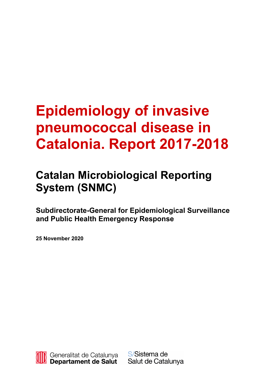# **Epidemiology of invasive pneumococcal disease in Catalonia. Report 2017-2018**

# **Catalan Microbiological Reporting System (SNMC)**

**Subdirectorate-General for Epidemiological Surveillance and Public Health Emergency Response**

**25 November 2020**



S/Sistema de Salut de Catalunya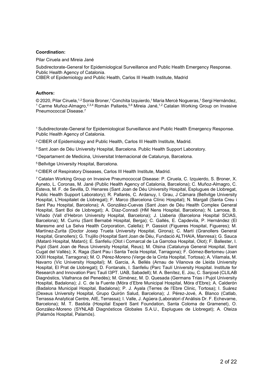#### **Coordination:**

Pilar Ciruela and Mireia Jané

Subdirectorate-General for Epidemiological Surveillance and Public Health Emergency Response. Public Health Agency of Catalonia.

CIBER of Epidemiology and Public Health, Carlos III Health Institute, Madrid

#### **Authors:**

© 2020, Pilar Ciruela,1,2 Sonia Broner,1 Conchita Izquierdo,1 Maria Mercè Nogueras,1 Sergi Hernández, <sup>1</sup> Carme Muñoz-Almagro,<sup>2,3,4</sup> Román Pallarés,<sup>5,6</sup> Mireia Jané,<sup>1,2</sup> Catalan Working Group on Invasive Pneumococcal Disease. 7

1 Subdirectorate-General for Epidemiological Surveillance and Public Health Emergency Response. Public Health Agency of Catalonia.

2 CIBER of Epidemiology and Public Health, Carlos III Health Institute, Madrid.

3 Sant Joan de Déu University Hospital, Barcelona. Public Health Support Laboratory.

4 Departament de Medicina, Universitat Internacional de Catalunya, Barcelona.

5 Bellvitge University Hospital, Barcelona.

6 CIBER of Respiratory Diseases, Carlos III Health Institute, Madrid.

7 Catalan Working Group on Invasive Pneumococcal Disease: P. Ciruela, C. Izquierdo, S. Broner, X. Ayneto, L. Coronas, M. Jané (Public Health Agency of Catalonia, Barcelona); C. Muñoz-Almagro, C. Esteva, M. F. de Sevilla, D. Henares (Sant Joan de Déu University Hospital, Esplugues de Llobregat, Public Health Support Laboratory); R. Pallarés, C. Ardanuy, I. Grau, J Càmara (Bellvitge University Hospital, L'Hospitalet de Llobregat); F. Marco (Barcelona Clínic Hospital); N. Margall (Santa Creu i Sant Pau Hospital, Barcelona); A. González-Cuevas (Sant Joan de Déu Health Complex General Hospital, Sant Boi de Llobregat); A. Díaz-Conradi (HM Nens Hospital, Barcelona); N. Larrosa, B. Viñado (Vall d'Hebron University Hospital, Barcelona); J. Llaberia (Barcelona Hospital SCIAS, Barcelona); M. Curriu (Sant Bernabé Hospital, Berga); C. Gallés, E. Capdevila, P. Hernández (El Maresme and La Selva Health Corporation, Calella); P. Gassiot (Figueres Hospital, Figueres); M. Martínez-Zurita (Doctor Josep Trueta University Hospital, Girona); C. Martí (Granollers General Hospital, Granollers); G. Trujillo (Hospital Sant Joan de Déu, Fundació ALTHAIA, Manresa); G. Sauca (Mataró Hospital, Mataró); E. Sanfeliu (Olot i Comarcal de La Garrotxa Hospital, Olot); F. Ballester, I. Pujol (Sant Joan de Reus University Hospital, Reus); M. Olsina (Catalunya General Hospital, Sant Cugat del Vallès); X. Raga (Sant Pau i Santa Tecla Hospital, Tarragona); F. Gómez-Bertomeu (Joan XXIII Hospital, Tarragona); M. O. Pérez-Moreno (Verge de la Cinta Hospital, Tortosa); A. Vilamala, M. Navarro (Vic University Hospital); M. Garcia, A. Bellés (Arnau de Vilanova de Lleida University Hospital, El Prat de Llobregat); D. Fontanals, I. Sanfeliu (Parc Taulí University Hospital. Institute for Research and Innovation Parc Taulí I3PT. UAB, Sabadell); M. A. Benítez, E. Jou, C. Sanjosé (CLILAB Diagnòstics, Vilafranca del Penedès); M. Giménez, M. D. Quesada (Germans Trias i Pujol University Hospital, Badalona); J. C. de la Fuente (Móra d'Ebre Municipal Hospital, Móra d'Ebre); A. Calderón (Badalona Municipal Hospital, Badalona); P. J. Ayala (Terres de l'Ebre Clinic, Tortosa); I. Suárez (Dexeus University Hospital, Grupo Quirón Salud, Barcelona); J. Pérez-Jové, A. Blanco (Catlab, Terrassa Analytical Centre, AIE, Terrassa); I. Valle, J. Agüera (Laboratori d'Anàlisis Dr. F. Echevarne, Barcelona); M. T. Bastida (Hospital Esperit Sant Foundation, Santa Coloma de Gramenet), O. González-Moreno (SYNLAB Diagnósticos Globales S.A.U., Esplugues de Llobregat); A. Oteiza (Palamós Hospital, Palamós).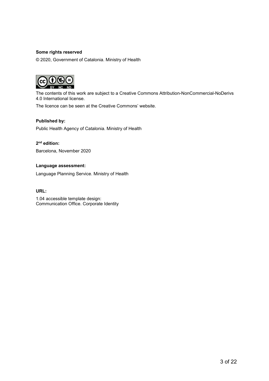#### **Some rights reserved**

© 2020, Government of Catalonia. Ministry of Health



The contents of this work are subject to a Creative Commons Attribution-NonCommercial-NoDerivs 4.0 International license.

The licence can be seen at the Creative Commons' website.

#### **Published by:**

Public Health Agency of Catalonia. Ministry of Health

#### **2nd edition:**

Barcelona, November 2020

#### **Language assessment:**

Language Planning Service. Ministry of Health

#### **URL:**

1.04 accessible template design: Communication Office. Corporate Identity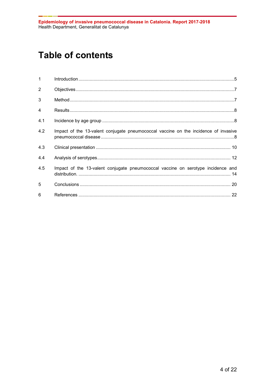# **Table of contents**

| $\mathbf{1}$   |                                                                                     |
|----------------|-------------------------------------------------------------------------------------|
| $\overline{2}$ |                                                                                     |
| 3              |                                                                                     |
| $\overline{4}$ |                                                                                     |
| 4.1            |                                                                                     |
| 4.2            | Impact of the 13-valent conjugate pneumococcal vaccine on the incidence of invasive |
| 4.3            |                                                                                     |
| 4.4            |                                                                                     |
| 4.5            | Impact of the 13-valent conjugate pneumococcal vaccine on serotype incidence and    |
| 5              |                                                                                     |
| 6              |                                                                                     |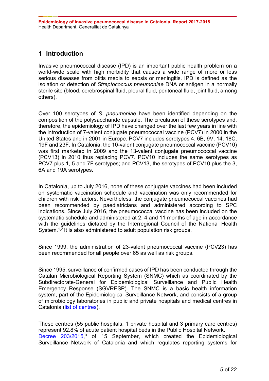# <span id="page-4-0"></span>**1 Introduction**

Invasive pneumococcal disease (IPD) is an important public health problem on a world-wide scale with high morbidity that causes a wide range of more or less serious diseases from otitis media to sepsis or meningitis. IPD is defined as the isolation or detection of *Streptococcus pneumoniae* DNA or antigen in a normally sterile site (blood, cerebrospinal fluid, pleural fluid, peritoneal fluid, joint fluid, among others).

Over 100 serotypes of *S. pneumoniae* have been identified depending on the composition of the polysaccharide capsule. The circulation of these serotypes and, therefore, the epidemiology of IPD have changed over the last few years in line with the introduction of 7-valent conjugate pneumococcal vaccine (PCV7) in 2000 in the United States and in 2001 in Europe. PCV7 includes serotypes 4, 6B, 9V, 14, 18C, 19F and 23F. In Catalonia, the 10-valent conjugate pneumococcal vaccine (PCV10) was first marketed in 2009 and the 13-valent conjugate pneumococcal vaccine (PCV13) in 2010 thus replacing PCV7. PCV10 includes the same serotypes as PCV7 plus 1, 5 and 7F serotypes; and PCV13, the serotypes of PCV10 plus the 3, 6A and 19A serotypes.

In Catalonia, up to July 2016, none of these conjugate vaccines had been included on systematic vaccination schedule and vaccination was only recommended for children with risk factors. Nevertheless, the conjugate pneumococcal vaccines had been recommended by paediatricians and administered according to SPC indications. Since July 2016, the pneumococcal vaccine has been included on the systematic schedule and administered at 2, 4 and 11 months of age in accordance with the guidelines dictated by the Interregional Council of the National Health System.<sup>1,2</sup> It is also administered to adult population risk groups.

Since 1999, the administration of 23-valent pneumococcal vaccine (PCV23) has been recommended for all people over 65 as well as risk groups.

Since 1995, surveillance of confirmed cases of IPD has been conducted through the Catalan Microbiological Reporting System (SNMC) which as coordinated by the Subdirectorate-General for Epidemiological Surveillance and Public Health Emergency Response (SGVRESP). The SNMC is a basic health information system, part of the Epidemiological Surveillance Network, and consists of a group of microbiology laboratories in public and private hospitals and medical centres in Catalonia [\(list of centres\)](https://canalsalut.gencat.cat/web/.content/_Professionals/Vigilancia_epidemiologica/documents/arxius/labs_notif_microb.pdf).

These centres (55 public hospitals, 1 private hospital and 3 primary care centres) represent 92.8% of acute patient hospital beds in the Public Hospital Network. [Decree 203/2015,](http://normativa.infocentre.es/sites/normativa.infocentre.es/files/noticies/20211575.pdf)<sup>3</sup> of 15 September, which created the Epidemiological Surveillance Network of Catalonia and which regulates reporting systems for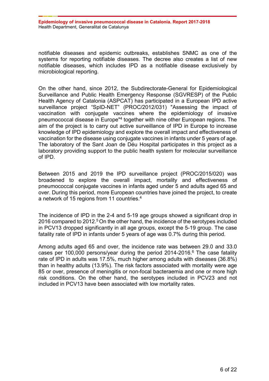notifiable diseases and epidemic outbreaks, establishes SNMC as one of the systems for reporting notifiable diseases. The decree also creates a list of new notifiable diseases, which includes IPD as a notifiable disease exclusively by microbiological reporting.

On the other hand, since 2012, the Subdirectorate-General for Epidemiological Surveillance and Public Health Emergency Response (SGVRESP) of the Public Health Agency of Catalonia (ASPCAT) has participated in a European IPD active surveillance project "SpID-NET" (PROC/2012/031) "Assessing the impact of vaccination with conjugate vaccines where the epidemiology of invasive pneumococcal disease in Europe"4 together with nine other European regions. The aim of the project is to carry out active surveillance of IPD in Europe to increase knowledge of IPD epidemiology and explore the overall impact and effectiveness of vaccination for the disease using conjugate vaccines in infants under 5 years of age. The laboratory of the Sant Joan de Déu Hospital participates in this project as a laboratory providing support to the public health system for molecular surveillance of IPD.

Between 2015 and 2019 the IPD surveillance project (PROC/2015/020) was broadened to explore the overall impact, mortality and effectiveness of pneumococcal conjugate vaccines in infants aged under 5 and adults aged 65 and over. During this period, more European countries have joined the project, to create a network of 15 regions from 11 countries.<sup>4</sup>

The incidence of IPD in the 2-4 and 5-19 age groups showed a significant drop in 2016 compared to 2012.<sup>5</sup> On the other hand, the incidence of the serotypes included in PCV13 dropped significantly in all age groups, except the 5-19 group. The case fatality rate of IPD in infants under 5 years of age was 0.7% during this period.

Among adults aged 65 and over, the incidence rate was between 29.0 and 33.0 cases per 100,000 persons/year during the period  $2014$ -2016.<sup>6</sup> The case fatality rate of IPD in adults was 17.5%, much higher among adults with diseases (36.8%) than in healthy adults (13.9%). The risk factors associated with mortality were age 85 or over, presence of meningitis or non-focal bacteraemia and one or more high risk conditions. On the other hand, the serotypes included in PCV23 and not included in PCV13 have been associated with low mortality rates.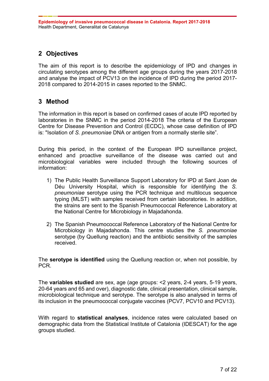# <span id="page-6-0"></span>**2 Objectives**

The aim of this report is to describe the epidemiology of IPD and changes in circulating serotypes among the different age groups during the years 2017-2018 and analyse the impact of PCV13 on the incidence of IPD during the period 2017- 2018 compared to 2014-2015 in cases reported to the SNMC.

# <span id="page-6-1"></span>**3 Method**

The information in this report is based on confirmed cases of acute IPD reported by laboratories in the SNMC in the period 2014-2018 The criteria of the European Centre for Disease Prevention and Control (ECDC), whose case definition of IPD is: "Isolation of *S. pneumoniae* DNA or antigen from a normally sterile site".

During this period, in the context of the European IPD surveillance project, enhanced and proactive surveillance of the disease was carried out and microbiological variables were included through the following sources of information:

- 1) The Public Health Surveillance Support Laboratory for IPD at Sant Joan de Déu University Hospital, which is responsible for identifying the *S. pneumoniae* serotype using the PCR technique and multilocus sequence typing (MLST) with samples received from certain laboratories. In addition, the strains are sent to the Spanish Pneumococcal Reference Laboratory at the National Centre for Microbiology in Majadahonda.
- 2) The Spanish Pneumococcal Reference Laboratory of the National Centre for Microbiology in Majadahonda. This centre studies the *S. pneumoniae*  serotype (by Quellung reaction) and the antibiotic sensitivity of the samples received.

The **serotype is identified** using the Quellung reaction or, when not possible, by PCR.

The **variables studied** are sex, age (age groups: <2 years, 2-4 years, 5-19 years, 20-64 years and 65 and over), diagnostic date, clinical presentation, clinical sample, microbiological technique and serotype. The serotype is also analysed in terms of its inclusion in the pneumococcal conjugate vaccines (PCV7, PCV10 and PCV13).

With regard to **statistical analyses**, incidence rates were calculated based on demographic data from the Statistical Institute of Catalonia (IDESCAT) for the age groups studied.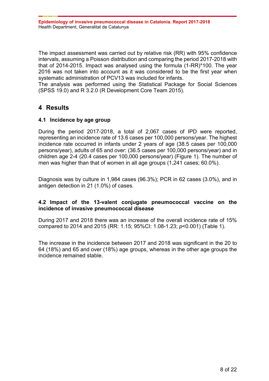The impact assessment was carried out by relative risk (RR) with 95% confidence intervals, assuming a Poisson distribution and comparing the period 2017-2018 with that of 2014-2015. Impact was analysed using the formula (1-RR)\*100. The year 2016 was not taken into account as it was considered to be the first year when systematic administration of PCV13 was included for infants.

The analysis was performed using the Statistical Package for Social Sciences (SPSS 19.0) and R 3.2.0 (R Development Core Team 2015).

# <span id="page-7-0"></span>**4 Results**

# <span id="page-7-1"></span>**4.1 Incidence by age group**

During the period 2017-2018, a total of 2,067 cases of IPD were reported, representing an incidence rate of 13.6 cases per 100,000 persons/year. The highest incidence rate occurred in infants under 2 years of age (38.5 cases per 100,000 persons/year), adults of 65 and over: (36.5 cases per 100,000 persons/year) and in children age 2-4 (20.4 cases per 100,000 persons/year) (Figure 1). The number of men was higher than that of women in all age groups (1,241 cases; 60.0%).

Diagnosis was by culture in 1,984 cases (96.3%); PCR in 62 cases (3.0%), and in antigen detection in 21 (1.0%) of cases.

# <span id="page-7-2"></span>**4.2 Impact of the 13-valent conjugate pneumococcal vaccine on the incidence of invasive pneumococcal disease**

During 2017 and 2018 there was an increase of the overall incidence rate of 15% compared to 2014 and 2015 (RR: 1.15; 95%CI: 1.08-1.23; *p*<0.001) (Table 1).

The increase in the incidence between 2017 and 2018 was significant in the 20 to 64 (18%) and 65 and over (18%) age groups, whereas in the other age groups the incidence remained stable.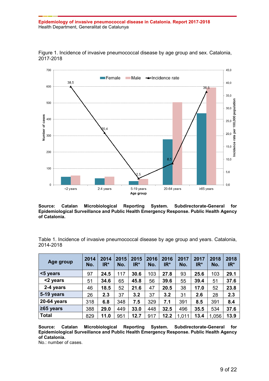

Figure 1. Incidence of invasive pneumococcal disease by age group and sex. Catalonia, 2017-2018

**Source: Catalan Microbiological Reporting System. Subdirectorate-General for Epidemiological Surveillance and Public Health Emergency Response. Public Health Agency of Catalonia.**

Table 1. Incidence of invasive pneumococcal disease by age group and years. Catalonia, 2014-2018

| Age group       | 2014<br>No. | 2014<br>IR* | 2015<br>No. | 2015<br>$IR^*$ | 2016<br>No. | 2016<br>$IR^*$ | 2017<br>No. | 2017<br>$IR^*$ | 2018<br>No. | 2018<br>$IR^*$ |
|-----------------|-------------|-------------|-------------|----------------|-------------|----------------|-------------|----------------|-------------|----------------|
| <5 years        | 97          | 24.5        | 117         | 30.6           | 103         | 27.8           | 93          | 25.6           | 103         | 29.1           |
| <2 years        | 51          | 34.6        | 65          | 45.8           | 56          | 39.6           | 55          | 39.4           | 51          | 37.6           |
| 2-4 years       | 46          | 18.5        | 52          | 21.6           | 47          | 20.5           | 38          | 17.0           | 52          | 23.8           |
| 5-19 years      | 26          | 2.3         | 37          | 3.2            | 37          | 3.2            | 31          | 2.6            | 28          | 2.3            |
| 20-64 years     | 318         | 6.8         | 348         | 7.5            | 329         | 7.1            | 391         | 8.5            | 391         | 8.4            |
| $\geq$ 65 years | 388         | 29.0        | 449         | 33.0           | 448         | 32.5           | 496         | 35.5           | 534         | 37.6           |
| <b>Total</b>    | 829         | 11.0        | 951         | 12.7           | 917         | 12.2           | 1,011       | 13.4           | 1,056       | 13.9           |

**Source: Catalan Microbiological Reporting System. Subdirectorate-General for Epidemiological Surveillance and Public Health Emergency Response. Public Health Agency of Catalonia.**

No.: number of cases.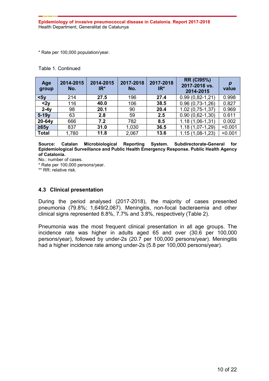\* Rate per 100,000 population/year.

Table 1. Continued

| Age<br>group | 2014-2015<br>No. | 2014-2015<br>$IR^*$ | 2017-2018<br>No. | 2017-2018<br>$IR^*$ | <b>RR (CI95%)</b><br>2017-2018 vs.<br>2014-2015 | $\boldsymbol{D}$<br>value |
|--------------|------------------|---------------------|------------------|---------------------|-------------------------------------------------|---------------------------|
| $5y$         | 214              | 27.5                | 196              | 27.4                | $0.99(0.82 - 1.21)$                             | 0.998                     |
| $2y$         | 116              | 40.0                | 106              | 38.5                | $0.96(0,73-1,26)$                               | 0.827                     |
| $2-4y$       | 98               | 20.1                | 90               | 20.4                | $1.02(0.75-1.37)$                               | 0.969                     |
| $5-19y$      | 63               | 2.8                 | 59               | 2.5                 | $0.90(0.62 - 1.30)$                             | 0.611                     |
| $20-64y$     | 666              | 7.2                 | 782              | 8.5                 | $1.18(1,06-1,31)$                               | 0.002                     |
| $\geq 65$ y  | 837              | 31.0                | 1,030            | 36.5                | $1.18(1,07-1,29)$                               | < 0.001                   |
| <b>Total</b> | 1,780            | 11.8                | 2,067            | 13.6                | $1.15(1,08-1,23)$                               | < 0.001                   |

**Source: Catalan Microbiological Reporting System. Subdirectorate-General for Epidemiological Surveillance and Public Health Emergency Response. Public Health Agency of Catalonia.**

No.: number of cases.

\* Rate per 100,000 persons/year.

\*\* RR: relative risk.

# <span id="page-9-0"></span>**4.3 Clinical presentation**

During the period analysed (2017-2018), the majority of cases presented pneumonia (79.8%; 1,649/2,067). Meningitis, non-focal bacteraemia and other clinical signs represented 8.8%, 7.7% and 3.8%, respectively (Table 2).

Pneumonia was the most frequent clinical presentation in all age groups. The incidence rate was higher in adults aged 65 and over (30.6 per 100,000 persons/year), followed by under-2s (20.7 per 100,000 persons/year). Meningitis had a higher incidence rate among under-2s (5.8 per 100,000 persons/year).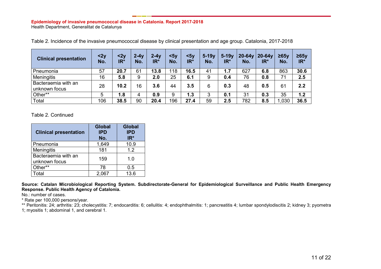| <b>Clinical presentation</b>         | 2y<br>No. | 2y<br>IR* | $2-4y$<br>No. | $2 - 4v$<br>$IR^*$ | $5y$<br>No. | $5y$<br>IR* | $5-19y$<br>No. | $5-19v$<br>IR* | $20-64v$<br>No. | $20-64v$<br>IR* | $\geq 65$<br>No. | $\geq 65y$<br>IR* |
|--------------------------------------|-----------|-----------|---------------|--------------------|-------------|-------------|----------------|----------------|-----------------|-----------------|------------------|-------------------|
| Pneumonia                            | 57        | 20.7      | 61            | 13.8               | 118         | 16.5        | 41             | 1.7            | 627             | 6.8             | 863              | 30.6              |
| <b>Meningitis</b>                    | 16        | 5.8       | 9             | 2.0                | 25          | 6.1         | 9              | 0.4            | 76              | 0.8             | 71               | 2.5               |
| Bacteraemia with an<br>unknown focus | 28        | 10.2      | 16            | 3.6                | 44          | 3.5         | 6              | 0.3            | 48              | 0.5             | 61               | 2.2               |
| Other**                              | 5         | 8.1       | 4             | 0.9                | 9           | 1.3         | 3              | 0.1            | 31              | 0.3             | 35               | 1.2               |
| Total                                | 106       | 38.5      | 90            | 20.4               | 196         | 27.4        | 59             | 2.5            | 782             | 8.5             | ,030             | 36.5              |

Table 2. Incidence of the invasive pneumococcal disease by clinical presentation and age group. Catalonia, 2017-2018

Table 2. Continued

| <b>Clinical presentation</b>         | <b>Global</b><br><b>IPD</b><br>No. | <b>Global</b><br><b>IPD</b><br>$IR*$ |
|--------------------------------------|------------------------------------|--------------------------------------|
| Pneumonia                            | 1,649                              | 10.9                                 |
| Meningitis                           | 181                                | 1.2                                  |
| Bacteraemia with an<br>unknown focus | 159                                | 1.0                                  |
| Other**                              | 78                                 | 0.5                                  |
| Total                                | 2.067                              | 13.6                                 |

**Source: Catalan Microbiological Reporting System. Subdirectorate-General for Epidemiological Surveillance and Public Health Emergency Response. Public Health Agency of Catalonia.**

No.: number of cases.

\* Rate per 100,000 persons/year.

\*\* Peritonitis: 24; arthritis: 23; cholecystitis: 7; endocarditis: 6; cellulitis: 4; endophthalmitis: 1; pancreatitis 4; lumbar spondylodiscitis 2; kidney 3; pyometra 1; myositis 1; abdominal 1, and cerebral 1.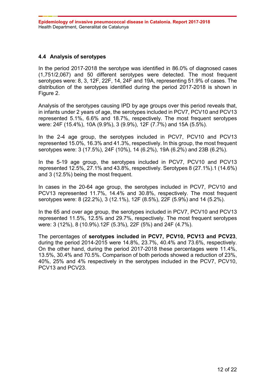# <span id="page-11-0"></span>**4.4 Analysis of serotypes**

In the period 2017-2018 the serotype was identified in 86.0% of diagnosed cases (1,751/2,067) and 50 different serotypes were detected. The most frequent serotypes were: 8, 3, 12F, 22F, 14, 24F and 19A, representing 51.9% of cases. The distribution of the serotypes identified during the period 2017-2018 is shown in Figure 2.

Analysis of the serotypes causing IPD by age groups over this period reveals that, in infants under 2 years of age, the serotypes included in PCV7, PCV10 and PCV13 represented 5.1%, 6.6% and 18.7%, respectively. The most frequent serotypes were: 24F (15.4%), 10A (9.9%), 3 (9.9%), 12F (7.7%) and 15A (5.5%).

In the 2-4 age group, the serotypes included in PCV7, PCV10 and PCV13 represented 15.0%, 16.3% and 41.3%, respectively. In this group, the most frequent serotypes were: 3 (17.5%), 24F (10%), 14 (6.2%), 19A (6.2%) and 23B (6.2%).

In the 5-19 age group, the serotypes included in PCV7, PCV10 and PCV13 represented 12.5%, 27.1% and 43.8%, respectively. Serotypes 8 (27.1%).1 (14.6%) and 3 (12.5%) being the most frequent.

In cases in the 20-64 age group, the serotypes included in PCV7, PCV10 and PCV13 represented 11.7%, 14.4% and 30.8%, respectively. The most frequent serotypes were: 8 (22.2%), 3 (12.1%), 12F (8.5%), 22F (5.9%) and 14 (5.2%).

In the 65 and over age group, the serotypes included in PCV7, PCV10 and PCV13 represented 11.5%, 12.5% and 29.7%, respectively. The most frequent serotypes were: 3 (12%), 8 (10.9%).12F (5.3%), 22F (5%) and 24F (4.7%).

The percentages of **serotypes included in PCV7, PCV10, PCV13 and PCV23**, during the period 2014-2015 were 14.8%, 23.7%, 40.4% and 73.6%, respectively. On the other hand, during the period 2017-2018 these percentages were 11.4%, 13.5%, 30.4% and 70.5%. Comparison of both periods showed a reduction of 23%, 40%, 25% and 4% respectively in the serotypes included in the PCV7, PCV10, PCV13 and PCV23.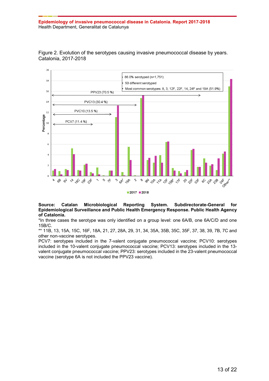



#### **Source: Catalan Microbiological Reporting System. Subdirectorate-General for Epidemiological Surveillance and Public Health Emergency Response. Public Health Agency of Catalonia.**

\*In three cases the serotype was only identified on a group level: one 6A/B, one 6A/C/D and one 15B/C.

\*\* 11B, 13, 15A, 15C, 16F, 18A, 21, 27, 28A, 29, 31, 34, 35A, 35B, 35C, 35F, 37, 38, 39, 7B, 7C and other non-vaccine serotypes.

PCV7: serotypes included in the 7-valent conjugate pneumococcal vaccine; PCV10: serotypes included in the 10-valent conjugate pneumococcal vaccine; PCV13: serotypes included in the 13 valent conjugate pneumococcal vaccine; PPV23: serotypes included in the 23-valent pneumococcal vaccine (serotype 6A is not included the PPV23 vaccine).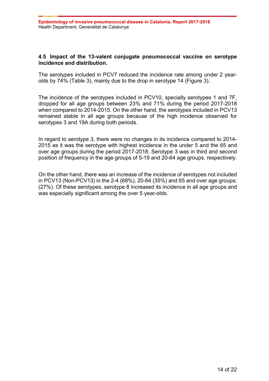# <span id="page-13-0"></span>**4.5 Impact of the 13-valent conjugate pneumococcal vaccine on serotype incidence and distribution.**

The serotypes included in PCV7 reduced the incidence rate among under 2 yearolds by 74% (Table 3), mainly due to the drop in serotype 14 (Figure 3).

The incidence of the serotypes included in PCV10, specially serotypes 1 and 7F, dropped for all age groups between 23% and 71% during the period 2017-2018 when compared to 2014-2015. On the other hand, the serotypes included in PCV13 remained stable in all age groups because of the high incidence observed for serotypes 3 and 19A during both periods.

In regard to serotype 3, there were no changes in its incidence compared to 2014- 2015 as it was the serotype with highest incidence in the under 5 and the 65 and over age groups during the period 2017-2018. Serotype 3 was in third and second position of frequency in the age groups of 5-19 and 20-64 age groups, respectively.

On the other hand, there was an increase of the incidence of serotypes not included in PCV13 (Non-PCV13) in the 2-4 (68%), 20-64 (35%) and 65 and over age groups: (27%). Of these serotypes, serotype 8 increased its incidence in all age groups and was especially significant among the over 5 year-olds.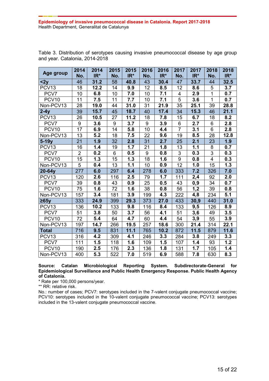| Age group         | 2014            | 2014 | 2015 | 2015 | 2016             | 2016 | 2017            | 2017             | 2018           | 2018  |
|-------------------|-----------------|------|------|------|------------------|------|-----------------|------------------|----------------|-------|
|                   | No.             | IR*  | No.  | IR*  | No.              | IR*  | No.             | IR*              | No.            | $IR*$ |
| $2y$              | 46              | 31.2 | 58   | 40.8 | 43               | 30.4 | 47              | 33.7             | 44             | 32.5  |
| PCV <sub>13</sub> | 18              | 12.2 | 14   | 9.9  | 12               | 8.5  | 12              | 8.6              | $\sqrt{5}$     | 3.7   |
| PCV7              | 10              | 6.8  | 10   | 7.0  | 10               | 7.1  | 4               | 2.9              | $\overline{1}$ | 0.7   |
| PCV <sub>10</sub> | 11              | 7.5  | 11   | 7.7  | 10               | 7.1  | $\overline{5}$  | 3.6              | $\overline{1}$ | 0.7   |
| Non-PCV13         | 28              | 19.0 | 44   | 31.0 | 31               | 21.9 | 35              | 25.1             | 39             | 28.8  |
| $2-4y$            | 39              | 15.7 | 45   | 18.7 | 40               | 17.4 | 34              | 15.3             | 46             | 21.1  |
| PCV <sub>13</sub> | 26              | 10.5 | 27   | 11.2 | 18               | 7.8  | 15              | 6.7              | 18             | 8.2   |
| PCV7              | 9               | 3.6  | 9    | 3.7  | $\boldsymbol{9}$ | 3.9  | 6               | 2.7              | $\,6$          | 2.8   |
| PCV <sub>10</sub> | 17              | 6.9  | 14   | 5.8  | 10               | 4.4  | $\overline{7}$  | 3.1              | $\overline{6}$ | 2.8   |
| Non-PCV13         | 13              | 5.2  | 18   | 7.5  | 22               | 9.6  | 19              | 8.5              | 28             | 12.8  |
| $5-19y$           | 21              | 1.9  | 32   | 2.8  | 31               | 2.7  | 25              | 2.1              | 23             | 1.9   |
| PCV <sub>13</sub> | 16              | 1.4  | 19   | 1.7  | 21               | 1.8  | 13              | 1.1              | 8              | 0.7   |
| PCV7              | $\overline{2}$  | 0.2  | 6    | 0.5  | $\overline{9}$   | 0.8  | $\overline{3}$  | 0.3              | $\overline{3}$ | 0.3   |
| PCV <sub>10</sub> | 15              | 1.3  | 15   | 1.3  | 18               | 1.6  | $\overline{9}$  | 0.8              | $\overline{4}$ | 0.3   |
| Non-PCV13         | 5               | 0.4  | 13   | 1.1  | 10               | 0.9  | $\overline{12}$ | 1.0              | 15             | 1.3   |
| 20-64y            | 277             | 6.0  | 297  | 6.4  | 278              | 6.0  | 333             | 7.2              | 326            | 7.0   |
| PCV <sub>13</sub> | 120             | 2.6  | 116  | 2.5  | 79               | 1.7  | 111             | 2,4              | 92             | 2.0   |
| PCV7              | 39              | 0.8  | 43   | 0.9  | 25               | 0.5  | 43              | 0,9              | 34             | 0.7   |
| PCV <sub>10</sub> | $\overline{75}$ | 1.6  | 72   | 1.6  | 38               | 0.8  | 56              | $\overline{1,2}$ | 39             | 0.8   |
| Non-PCV13         | 157             | 3.4  | 181  | 3.9  | 199              | 4.3  | 222             | 4,8              | 234            | 5.1   |
| $\geq 65y$        | 333             | 24.9 | 399  | 29.3 | 373              | 27.0 | 433             | 30,9             | 440            | 31.0  |
| PCV <sub>13</sub> | 136             | 10.2 | 133  | 9.8  | 116              | 8.4  | 133             | 9,5              | 126            | 8.9   |
| PCV7              | 51              | 3.8  | 50   | 3.7  | 56               | 4.1  | $5\overline{1}$ | 3,6              | 49             | 3.5   |
| PCV <sub>10</sub> | 72              | 5.4  | 64   | 4.7  | 60               | 4.4  | 54              | 3,9              | 55             | 3.9   |
| Non-PCV13         | 197             | 14.7 | 266  | 19.5 | 257              | 18.6 | 300             | 21.4             | 314            | 22.1  |
| <b>Total</b>      | 716             | 9.5  | 831  | 11.1 | 765              | 10.2 | 872             | 11.5             | 879            | 11.6  |
| PCV <sub>13</sub> | 316             | 4.2  | 309  | 4.1  | 246              | 3.3  | 284             | 3.8              | 249            | 3.3   |
| PCV7              | 111             | 1.5  | 118  | 1.6  | 109              | 1.5  | 107             | 1.4              | 93             | 1.2   |
| PCV <sub>10</sub> | 190             | 2.5  | 176  | 2.3  | 136              | 1.8  | 131             | 1.7              | 105            | 1.4   |
| Non-PCV13         | 400             | 5.3  | 522  | 7.0  | 519              | 6.9  | 588             | 7.8              | 630            | 8.3   |

Table 3. Distribution of serotypes causing invasive pneumococcal disease by age group and year. Catalonia, 2014-2018

**Source: Catalan Microbiological Reporting System. Subdirectorate-General for Epidemiological Surveillance and Public Health Emergency Response. Public Health Agency of Catalonia.**

\* Rate per 100,000 persons/year.

\*\* RR: relative risk.

No.: number of cases; PCV7: serotypes included in the 7-valent conjugate pneumococcal vaccine; PCV10: serotypes included in the 10-valent conjugate pneumococcal vaccine; PCV13: serotypes included in the 13-valent conjugate pneumococcal vaccine.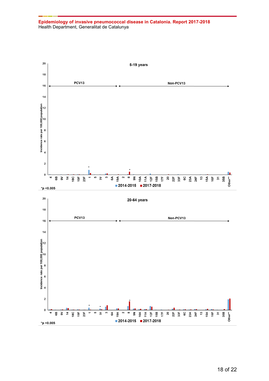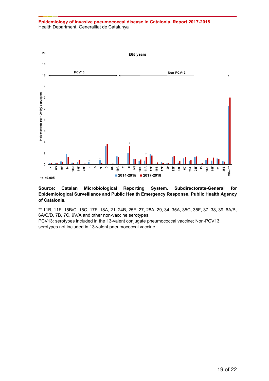

#### **Source: Catalan Microbiological Reporting System. Subdirectorate-General for Epidemiological Surveillance and Public Health Emergency Response. Public Health Agency of Catalonia.**

\*\* 11B, 11F, 15B/C, 15C, 17F, 18A, 21, 24B, 25F, 27, 28A, 29, 34, 35A, 35C, 35F, 37, 38, 39, 6A/B, 6A/C/D, 7B, 7C, 9V/A and other non-vaccine serotypes.

PCV13: serotypes included in the 13-valent conjugate pneumococcal vaccine; Non-PCV13: serotypes not included in 13-valent pneumococcal vaccine.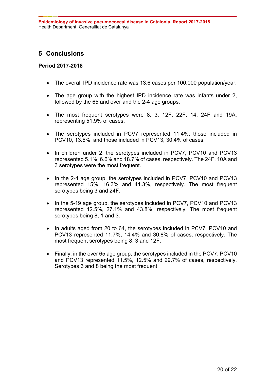# <span id="page-19-0"></span>**5 Conclusions**

### **Period 2017-2018**

- The overall IPD incidence rate was 13.6 cases per 100,000 population/year.
- The age group with the highest IPD incidence rate was infants under 2, followed by the 65 and over and the 2-4 age groups.
- The most frequent serotypes were 8, 3, 12F, 22F, 14, 24F and 19A; representing 51.9% of cases.
- The serotypes included in PCV7 represented 11.4%; those included in PCV10, 13.5%, and those included in PCV13, 30.4% of cases.
- In children under 2, the serotypes included in PCV7, PCV10 and PCV13 represented 5.1%, 6.6% and 18.7% of cases, respectively. The 24F, 10A and 3 serotypes were the most frequent.
- In the 2-4 age group, the serotypes included in PCV7, PCV10 and PCV13 represented 15%, 16.3% and 41.3%, respectively. The most frequent serotypes being 3 and 24F.
- In the 5-19 age group, the serotypes included in PCV7, PCV10 and PCV13 represented 12.5%, 27.1% and 43.8%, respectively. The most frequent serotypes being 8, 1 and 3.
- In adults aged from 20 to 64, the serotypes included in PCV7, PCV10 and PCV13 represented 11.7%, 14.4% and 30.8% of cases, respectively. The most frequent serotypes being 8, 3 and 12F.
- Finally, in the over 65 age group, the serotypes included in the PCV7, PCV10 and PCV13 represented 11.5%, 12.5% and 29.7% of cases, respectively. Serotypes 3 and 8 being the most frequent.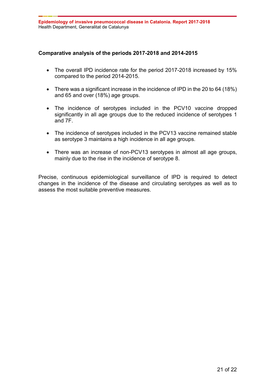# **Comparative analysis of the periods 2017-2018 and 2014-2015**

- The overall IPD incidence rate for the period 2017-2018 increased by 15% compared to the period 2014-2015.
- There was a significant increase in the incidence of IPD in the 20 to 64 (18%) and 65 and over (18%) age groups.
- The incidence of serotypes included in the PCV10 vaccine dropped significantly in all age groups due to the reduced incidence of serotypes 1 and 7F.
- The incidence of serotypes included in the PCV13 vaccine remained stable as serotype 3 maintains a high incidence in all age groups.
- There was an increase of non-PCV13 serotypes in almost all age groups, mainly due to the rise in the incidence of serotype 8.

Precise, continuous epidemiological surveillance of IPD is required to detect changes in the incidence of the disease and circulating serotypes as well as to assess the most suitable preventive measures.